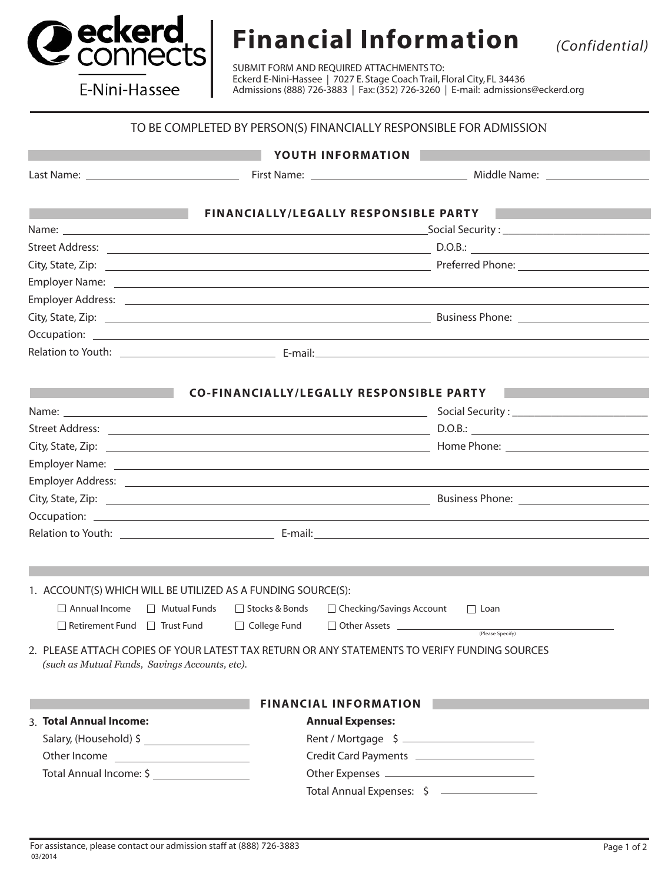

## **Financial Information** *(Confidential)*

E-Nini-Hassee

SUBMIT FORM AND REQUIRED ATTACHMENTS TO: Eckerd E-Nini-Hassee | 7027 E. Stage Coach Trail, Floral City, FL 34436 Admissions (888) 726-3883 | Fax: (352) 726-3260 | E-mail: admissions@eckerd.org

## TO BE COMPLETED BY PERSON(S) FINANCIALLY RESPONSIBLE FOR ADMISSION

|                                                                                       | YOUTH INFORMATION                                                                               |                                                                                                                                                                                                                                     |
|---------------------------------------------------------------------------------------|-------------------------------------------------------------------------------------------------|-------------------------------------------------------------------------------------------------------------------------------------------------------------------------------------------------------------------------------------|
|                                                                                       |                                                                                                 |                                                                                                                                                                                                                                     |
| and the state of the state of the state of the state of the state of the state of the |                                                                                                 | FINANCIALLY/LEGALLY RESPONSIBLE PARTY                                                                                                                                                                                               |
|                                                                                       |                                                                                                 |                                                                                                                                                                                                                                     |
|                                                                                       |                                                                                                 |                                                                                                                                                                                                                                     |
|                                                                                       |                                                                                                 |                                                                                                                                                                                                                                     |
|                                                                                       |                                                                                                 | Employer Name: <u>Employer Name:</u> And The Contract of the Contract of the Contract of the Contract of the Contract of the Contract of the Contract of the Contract of the Contract of the Contract of the Contract of the Contra |
|                                                                                       |                                                                                                 |                                                                                                                                                                                                                                     |
|                                                                                       |                                                                                                 |                                                                                                                                                                                                                                     |
|                                                                                       |                                                                                                 |                                                                                                                                                                                                                                     |
|                                                                                       |                                                                                                 |                                                                                                                                                                                                                                     |
|                                                                                       |                                                                                                 |                                                                                                                                                                                                                                     |
| and the state of the state of the state of the state of the state of the state of     |                                                                                                 | CO-FINANCIALLY/LEGALLY RESPONSIBLE PARTY                                                                                                                                                                                            |
|                                                                                       |                                                                                                 |                                                                                                                                                                                                                                     |
|                                                                                       |                                                                                                 |                                                                                                                                                                                                                                     |
|                                                                                       |                                                                                                 |                                                                                                                                                                                                                                     |
|                                                                                       |                                                                                                 |                                                                                                                                                                                                                                     |
|                                                                                       |                                                                                                 |                                                                                                                                                                                                                                     |
|                                                                                       |                                                                                                 |                                                                                                                                                                                                                                     |
|                                                                                       |                                                                                                 |                                                                                                                                                                                                                                     |
|                                                                                       |                                                                                                 |                                                                                                                                                                                                                                     |
|                                                                                       |                                                                                                 |                                                                                                                                                                                                                                     |
|                                                                                       |                                                                                                 |                                                                                                                                                                                                                                     |
|                                                                                       | 1. ACCOUNT(S) WHICH WILL BE UTILIZED AS A FUNDING SOURCE(S):                                    |                                                                                                                                                                                                                                     |
| $\Box$ Annual Income                                                                  | □ Mutual Funds<br>□ Stocks & Bonds □ Checking/Savings Account                                   | $\Box$ Loan                                                                                                                                                                                                                         |
|                                                                                       | $\Box$ Retirement Fund $\Box$ Trust Fund $\Box$ College Fund $\Box$ Other Assets ______________ | (Please Specify)                                                                                                                                                                                                                    |
| (such as Mutual Funds, Savings Accounts, etc).                                        | 2. PLEASE ATTACH COPIES OF YOUR LATEST TAX RETURN OR ANY STATEMENTS TO VERIFY FUNDING SOURCES   |                                                                                                                                                                                                                                     |
|                                                                                       | <b>FINANCIAL INFORMATION</b>                                                                    |                                                                                                                                                                                                                                     |
| 3. Total Annual Income:                                                               | <b>Annual Expenses:</b>                                                                         |                                                                                                                                                                                                                                     |
|                                                                                       |                                                                                                 |                                                                                                                                                                                                                                     |
|                                                                                       |                                                                                                 |                                                                                                                                                                                                                                     |
| Total Annual Income: \$                                                               |                                                                                                 |                                                                                                                                                                                                                                     |
|                                                                                       |                                                                                                 | Total Annual Expenses: \$                                                                                                                                                                                                           |
|                                                                                       |                                                                                                 |                                                                                                                                                                                                                                     |